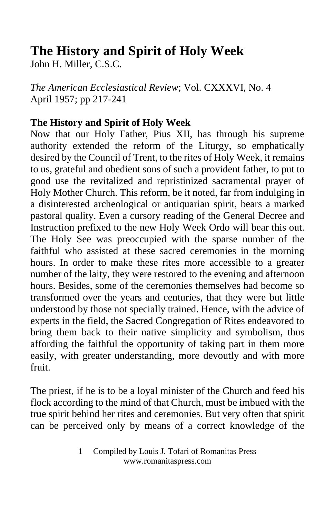# **The History and Spirit of Holy Week**

John H. Miller, C.S.C.

*The American Ecclesiastical Review*; Vol. CXXXVI, No. 4 April 1957; pp 217-241

## **The History and Spirit of Holy Week**

Now that our Holy Father, Pius XII, has through his supreme authority extended the reform of the Liturgy, so emphatically desired by the Council of Trent, to the rites of Holy Week, it remains to us, grateful and obedient sons of such a provident father, to put to good use the revitalized and repristinized sacramental prayer of Holy Mother Church. This reform, be it noted, far from indulging in a disinterested archeological or antiquarian spirit, bears a marked pastoral quality. Even a cursory reading of the General Decree and Instruction prefixed to the new Holy Week Ordo will bear this out. The Holy See was preoccupied with the sparse number of the faithful who assisted at these sacred ceremonies in the morning hours. In order to make these rites more accessible to a greater number of the laity, they were restored to the evening and afternoon hours. Besides, some of the ceremonies themselves had become so transformed over the years and centuries, that they were but little understood by those not specially trained. Hence, with the advice of experts in the field, the Sacred Congregation of Rites endeavored to bring them back to their native simplicity and symbolism, thus affording the faithful the opportunity of taking part in them more easily, with greater understanding, more devoutly and with more fruit.

The priest, if he is to be a loyal minister of the Church and feed his flock according to the mind of that Church, must be imbued with the true spirit behind her rites and ceremonies. But very often that spirit can be perceived only by means of a correct knowledge of the

<sup>1</sup> Compiled by Louis J. Tofari of Romanitas Press www.romanitaspress.com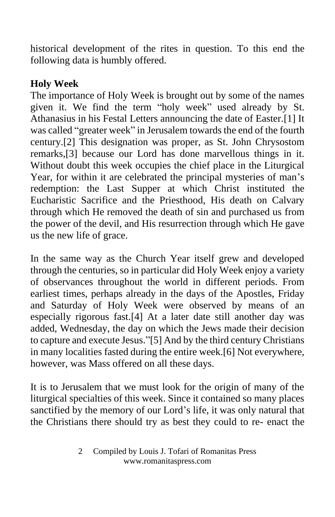historical development of the rites in question. To this end the following data is humbly offered.

# **Holy Week**

The importance of Holy Week is brought out by some of the names given it. We find the term "holy week" used already by St. Athanasius in his Festal Letters announcing the date of Easter.[1] It was called "greater week" in Jerusalem towards the end of the fourth century.[2] This designation was proper, as St. John Chrysostom remarks,[3] because our Lord has done marvellous things in it. Without doubt this week occupies the chief place in the Liturgical Year, for within it are celebrated the principal mysteries of man's redemption: the Last Supper at which Christ instituted the Eucharistic Sacrifice and the Priesthood, His death on Calvary through which He removed the death of sin and purchased us from the power of the devil, and His resurrection through which He gave us the new life of grace.

In the same way as the Church Year itself grew and developed through the centuries, so in particular did Holy Week enjoy a variety of observances throughout the world in different periods. From earliest times, perhaps already in the days of the Apostles, Friday and Saturday of Holy Week were observed by means of an especially rigorous fast.[4] At a later date still another day was added, Wednesday, the day on which the Jews made their decision to capture and execute Jesus."[5] And by the third century Christians in many localities fasted during the entire week.[6] Not everywhere, however, was Mass offered on all these days.

It is to Jerusalem that we must look for the origin of many of the liturgical specialties of this week. Since it contained so many places sanctified by the memory of our Lord's life, it was only natural that the Christians there should try as best they could to re- enact the

<sup>2</sup> Compiled by Louis J. Tofari of Romanitas Press www.romanitaspress.com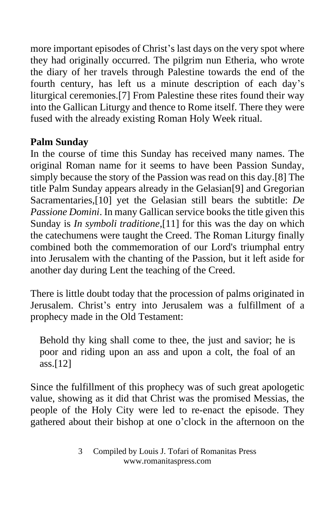more important episodes of Christ's last days on the very spot where they had originally occurred. The pilgrim nun Etheria, who wrote the diary of her travels through Palestine towards the end of the fourth century, has left us a minute description of each day's liturgical ceremonies.[7] From Palestine these rites found their way into the Gallican Liturgy and thence to Rome itself. There they were fused with the already existing Roman Holy Week ritual.

## **Palm Sunday**

In the course of time this Sunday has received many names. The original Roman name for it seems to have been Passion Sunday, simply because the story of the Passion was read on this day.[8] The title Palm Sunday appears already in the Gelasian[9] and Gregorian Sacramentaries,[10] yet the Gelasian still bears the subtitle: *De Passione Domini*. In many Gallican service books the title given this Sunday is *In symboli traditione*,[11] for this was the day on which the catechumens were taught the Creed. The Roman Liturgy finally combined both the commemoration of our Lord's triumphal entry into Jerusalem with the chanting of the Passion, but it left aside for another day during Lent the teaching of the Creed.

There is little doubt today that the procession of palms originated in Jerusalem. Christ's entry into Jerusalem was a fulfillment of a prophecy made in the Old Testament:

Behold thy king shall come to thee, the just and savior; he is poor and riding upon an ass and upon a colt, the foal of an ass.[12]

Since the fulfillment of this prophecy was of such great apologetic value, showing as it did that Christ was the promised Messias, the people of the Holy City were led to re-enact the episode. They gathered about their bishop at one o'clock in the afternoon on the

<sup>3</sup> Compiled by Louis J. Tofari of Romanitas Press www.romanitaspress.com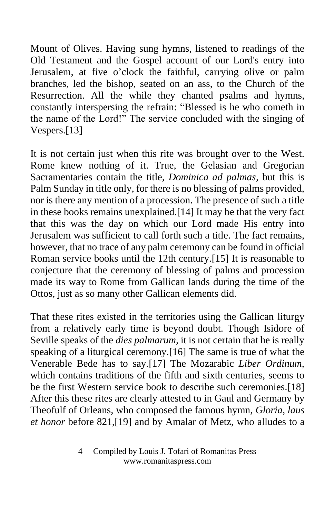Mount of Olives. Having sung hymns, listened to readings of the Old Testament and the Gospel account of our Lord's entry into Jerusalem, at five o'clock the faithful, carrying olive or palm branches, led the bishop, seated on an ass, to the Church of the Resurrection. All the while they chanted psalms and hymns, constantly interspersing the refrain: "Blessed is he who cometh in the name of the Lord!" The service concluded with the singing of Vespers.[13]

It is not certain just when this rite was brought over to the West. Rome knew nothing of it. True, the Gelasian and Gregorian Sacramentaries contain the title, *Dominica ad palmas*, but this is Palm Sunday in title only, for there is no blessing of palms provided, nor is there any mention of a procession. The presence of such a title in these books remains unexplained.[14] It may be that the very fact that this was the day on which our Lord made His entry into Jerusalem was sufficient to call forth such a title. The fact remains, however, that no trace of any palm ceremony can be found in official Roman service books until the 12th century.[15] It is reasonable to conjecture that the ceremony of blessing of palms and procession made its way to Rome from Gallican lands during the time of the Ottos, just as so many other Gallican elements did.

That these rites existed in the territories using the Gallican liturgy from a relatively early time is beyond doubt. Though Isidore of Seville speaks of the *dies palmarum*, it is not certain that he is really speaking of a liturgical ceremony.[16] The same is true of what the Venerable Bede has to say.[17] The Mozarabic *Liber Ordinum*, which contains traditions of the fifth and sixth centuries, seems to be the first Western service book to describe such ceremonies.[18] After this these rites are clearly attested to in Gaul and Germany by Theofulf of Orleans, who composed the famous hymn, *Gloria, laus et honor* before 821,[19] and by Amalar of Metz, who alludes to a

<sup>4</sup> Compiled by Louis J. Tofari of Romanitas Press www.romanitaspress.com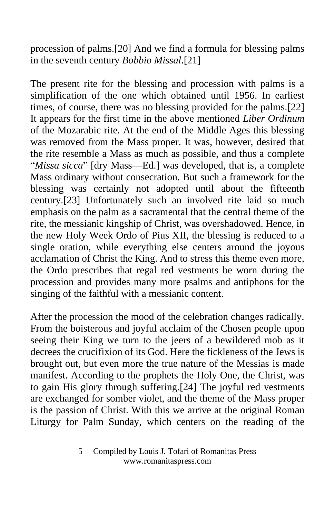procession of palms.[20] And we find a formula for blessing palms in the seventh century *Bobbio Missal*.[21]

The present rite for the blessing and procession with palms is a simplification of the one which obtained until 1956. In earliest times, of course, there was no blessing provided for the palms.[22] It appears for the first time in the above mentioned *Liber Ordinum* of the Mozarabic rite. At the end of the Middle Ages this blessing was removed from the Mass proper. It was, however, desired that the rite resemble a Mass as much as possible, and thus a complete "*Missa sicca*" [dry Mass—Ed.] was developed, that is, a complete Mass ordinary without consecration. But such a framework for the blessing was certainly not adopted until about the fifteenth century.[23] Unfortunately such an involved rite laid so much emphasis on the palm as a sacramental that the central theme of the rite, the messianic kingship of Christ, was overshadowed. Hence, in the new Holy Week Ordo of Pius XII, the blessing is reduced to a single oration, while everything else centers around the joyous acclamation of Christ the King. And to stress this theme even more, the Ordo prescribes that regal red vestments be worn during the procession and provides many more psalms and antiphons for the singing of the faithful with a messianic content.

After the procession the mood of the celebration changes radically. From the boisterous and joyful acclaim of the Chosen people upon seeing their King we turn to the jeers of a bewildered mob as it decrees the crucifixion of its God. Here the fickleness of the Jews is brought out, but even more the true nature of the Messias is made manifest. According to the prophets the Holy One, the Christ, was to gain His glory through suffering.[24] The joyful red vestments are exchanged for somber violet, and the theme of the Mass proper is the passion of Christ. With this we arrive at the original Roman Liturgy for Palm Sunday, which centers on the reading of the

<sup>5</sup> Compiled by Louis J. Tofari of Romanitas Press www.romanitaspress.com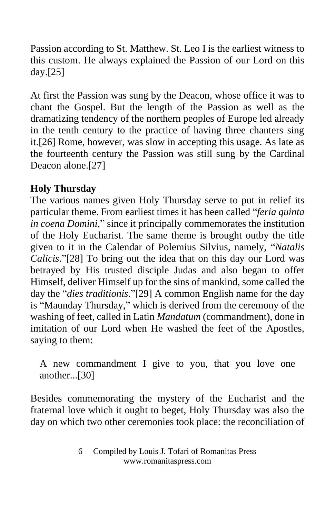Passion according to St. Matthew. St. Leo I is the earliest witness to this custom. He always explained the Passion of our Lord on this day.[25]

At first the Passion was sung by the Deacon, whose office it was to chant the Gospel. But the length of the Passion as well as the dramatizing tendency of the northern peoples of Europe led already in the tenth century to the practice of having three chanters sing it.[26] Rome, however, was slow in accepting this usage. As late as the fourteenth century the Passion was still sung by the Cardinal Deacon alone.[27]

## **Holy Thursday**

The various names given Holy Thursday serve to put in relief its particular theme. From earliest times it has been called "*feria quinta in coena Domini*," since it principally commemorates the institution of the Holy Eucharist. The same theme is brought outby the title given to it in the Calendar of Polemius Silvius, namely, "*Natalis Calicis*."[28] To bring out the idea that on this day our Lord was betrayed by His trusted disciple Judas and also began to offer Himself, deliver Himself up for the sins of mankind, some called the day the "*dies traditionis*."[29] A common English name for the day is "Maunday Thursday," which is derived from the ceremony of the washing of feet, called in Latin *Mandatum* (commandment), done in imitation of our Lord when He washed the feet of the Apostles, saying to them:

A new commandment I give to you, that you love one another...[30]

Besides commemorating the mystery of the Eucharist and the fraternal love which it ought to beget, Holy Thursday was also the day on which two other ceremonies took place: the reconciliation of

<sup>6</sup> Compiled by Louis J. Tofari of Romanitas Press www.romanitaspress.com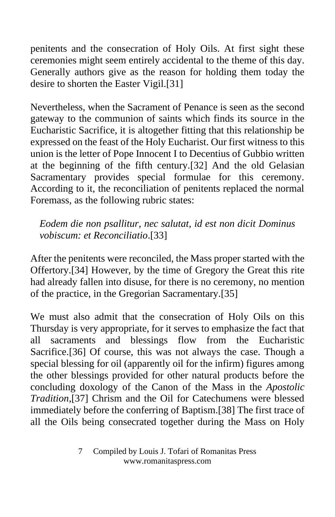penitents and the consecration of Holy Oils. At first sight these ceremonies might seem entirely accidental to the theme of this day. Generally authors give as the reason for holding them today the desire to shorten the Easter Vigil.[31]

Nevertheless, when the Sacrament of Penance is seen as the second gateway to the communion of saints which finds its source in the Eucharistic Sacrifice, it is altogether fitting that this relationship be expressed on the feast of the Holy Eucharist. Our first witness to this union is the letter of Pope Innocent I to Decentius of Gubbio written at the beginning of the fifth century.[32] And the old Gelasian Sacramentary provides special formulae for this ceremony. According to it, the reconciliation of penitents replaced the normal Foremass, as the following rubric states:

#### *Eodem die non psallitur, nec salutat, id est non dicit Dominus vobiscum: et Reconciliatio*.[33]

After the penitents were reconciled, the Mass proper started with the Offertory.[34] However, by the time of Gregory the Great this rite had already fallen into disuse, for there is no ceremony, no mention of the practice, in the Gregorian Sacramentary.[35]

We must also admit that the consecration of Holy Oils on this Thursday is very appropriate, for it serves to emphasize the fact that all sacraments and blessings flow from the Eucharistic Sacrifice.[36] Of course, this was not always the case. Though a special blessing for oil (apparently oil for the infirm) figures among the other blessings provided for other natural products before the concluding doxology of the Canon of the Mass in the *Apostolic Tradition*,[37] Chrism and the Oil for Catechumens were blessed immediately before the conferring of Baptism.[38] The first trace of all the Oils being consecrated together during the Mass on Holy

<sup>7</sup> Compiled by Louis J. Tofari of Romanitas Press www.romanitaspress.com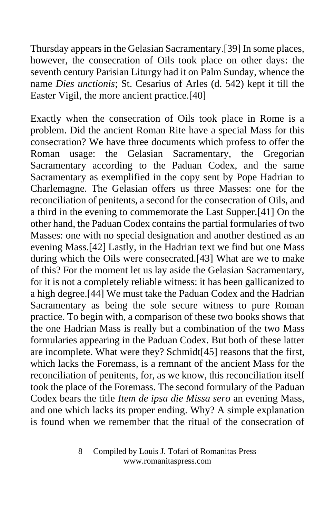Thursday appears in the Gelasian Sacramentary.[39] In some places, however, the consecration of Oils took place on other days: the seventh century Parisian Liturgy had it on Palm Sunday, whence the name *Dies unctionis*; St. Cesarius of Arles (d. 542) kept it till the Easter Vigil, the more ancient practice.[40]

Exactly when the consecration of Oils took place in Rome is a problem. Did the ancient Roman Rite have a special Mass for this consecration? We have three documents which profess to offer the Roman usage: the Gelasian Sacramentary, the Gregorian Sacramentary according to the Paduan Codex, and the same Sacramentary as exemplified in the copy sent by Pope Hadrian to Charlemagne. The Gelasian offers us three Masses: one for the reconciliation of penitents, a second for the consecration of Oils, and a third in the evening to commemorate the Last Supper.[41] On the other hand, the Paduan Codex contains the partial formularies of two Masses: one with no special designation and another destined as an evening Mass.[42] Lastly, in the Hadrian text we find but one Mass during which the Oils were consecrated.[43] What are we to make of this? For the moment let us lay aside the Gelasian Sacramentary, for it is not a completely reliable witness: it has been gallicanized to a high degree.[44] We must take the Paduan Codex and the Hadrian Sacramentary as being the sole secure witness to pure Roman practice. To begin with, a comparison of these two books shows that the one Hadrian Mass is really but a combination of the two Mass formularies appearing in the Paduan Codex. But both of these latter are incomplete. What were they? Schmidt[45] reasons that the first, which lacks the Foremass, is a remnant of the ancient Mass for the reconciliation of penitents, for, as we know, this reconciliation itself took the place of the Foremass. The second formulary of the Paduan Codex bears the title *Item de ipsa die Missa sero* an evening Mass, and one which lacks its proper ending. Why? A simple explanation is found when we remember that the ritual of the consecration of

<sup>8</sup> Compiled by Louis J. Tofari of Romanitas Press www.romanitaspress.com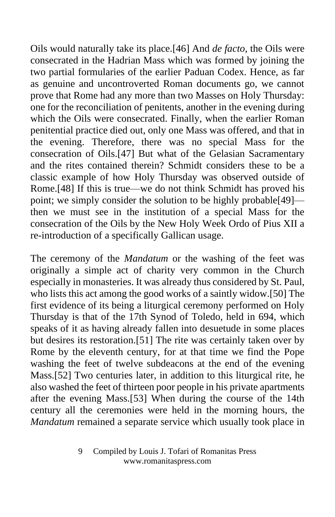Oils would naturally take its place.[46] And *de facto*, the Oils were consecrated in the Hadrian Mass which was formed by joining the two partial formularies of the earlier Paduan Codex. Hence, as far as genuine and uncontroverted Roman documents go, we cannot prove that Rome had any more than two Masses on Holy Thursday: one for the reconciliation of penitents, another in the evening during which the Oils were consecrated. Finally, when the earlier Roman penitential practice died out, only one Mass was offered, and that in the evening. Therefore, there was no special Mass for the consecration of Oils.[47] But what of the Gelasian Sacramentary and the rites contained therein? Schmidt considers these to be a classic example of how Holy Thursday was observed outside of Rome.[48] If this is true—we do not think Schmidt has proved his point; we simply consider the solution to be highly probable[49] then we must see in the institution of a special Mass for the consecration of the Oils by the New Holy Week Ordo of Pius XII a re-introduction of a specifically Gallican usage.

The ceremony of the *Mandatum* or the washing of the feet was originally a simple act of charity very common in the Church especially in monasteries. It was already thus considered by St. Paul, who lists this act among the good works of a saintly widow.[50] The first evidence of its being a liturgical ceremony performed on Holy Thursday is that of the 17th Synod of Toledo, held in 694, which speaks of it as having already fallen into desuetude in some places but desires its restoration.[51] The rite was certainly taken over by Rome by the eleventh century, for at that time we find the Pope washing the feet of twelve subdeacons at the end of the evening Mass.[52] Two centuries later, in addition to this liturgical rite, he also washed the feet of thirteen poor people in his private apartments after the evening Mass.[53] When during the course of the 14th century all the ceremonies were held in the morning hours, the *Mandatum* remained a separate service which usually took place in

<sup>9</sup> Compiled by Louis J. Tofari of Romanitas Press www.romanitaspress.com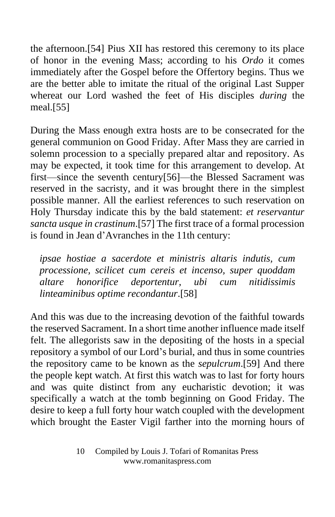the afternoon.[54] Pius XII has restored this ceremony to its place of honor in the evening Mass; according to his *Ordo* it comes immediately after the Gospel before the Offertory begins. Thus we are the better able to imitate the ritual of the original Last Supper whereat our Lord washed the feet of His disciples *during* the meal.[55]

During the Mass enough extra hosts are to be consecrated for the general communion on Good Friday. After Mass they are carried in solemn procession to a specially prepared altar and repository. As may be expected, it took time for this arrangement to develop. At first—since the seventh century[56]—the Blessed Sacrament was reserved in the sacristy, and it was brought there in the simplest possible manner. All the earliest references to such reservation on Holy Thursday indicate this by the bald statement: *et reservantur sancta usque in crastinum*.[57] The first trace of a formal procession is found in Jean d'Avranches in the 11th century:

*ipsae hostiae a sacerdote et ministris altaris indutis, cum processione, scilicet cum cereis et incenso, super quoddam altare honorifice deportentur, ubi cum nitidissimis linteaminibus optime recondantur*.[58]

And this was due to the increasing devotion of the faithful towards the reserved Sacrament. In a short time another influence made itself felt. The allegorists saw in the depositing of the hosts in a special repository a symbol of our Lord's burial, and thus in some countries the repository came to be known as the *sepulcrum*.[59] And there the people kept watch. At first this watch was to last for forty hours and was quite distinct from any eucharistic devotion; it was specifically a watch at the tomb beginning on Good Friday. The desire to keep a full forty hour watch coupled with the development which brought the Easter Vigil farther into the morning hours of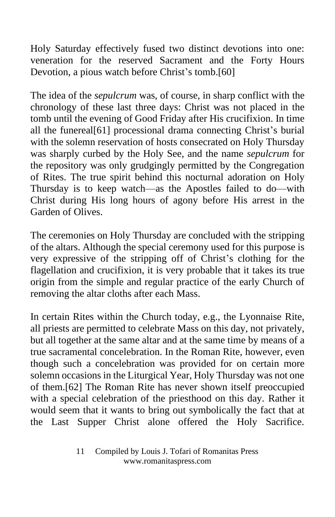Holy Saturday effectively fused two distinct devotions into one: veneration for the reserved Sacrament and the Forty Hours Devotion, a pious watch before Christ's tomb.[60]

The idea of the *sepulcrum* was, of course, in sharp conflict with the chronology of these last three days: Christ was not placed in the tomb until the evening of Good Friday after His crucifixion. In time all the funereal[61] processional drama connecting Christ's burial with the solemn reservation of hosts consecrated on Holy Thursday was sharply curbed by the Holy See, and the name *sepulcrum* for the repository was only grudgingly permitted by the Congregation of Rites. The true spirit behind this nocturnal adoration on Holy Thursday is to keep watch—as the Apostles failed to do—with Christ during His long hours of agony before His arrest in the Garden of Olives.

The ceremonies on Holy Thursday are concluded with the stripping of the altars. Although the special ceremony used for this purpose is very expressive of the stripping off of Christ's clothing for the flagellation and crucifixion, it is very probable that it takes its true origin from the simple and regular practice of the early Church of removing the altar cloths after each Mass.

In certain Rites within the Church today, e.g., the Lyonnaise Rite, all priests are permitted to celebrate Mass on this day, not privately, but all together at the same altar and at the same time by means of a true sacramental concelebration. In the Roman Rite, however, even though such a concelebration was provided for on certain more solemn occasions in the Liturgical Year, Holy Thursday was not one of them.[62] The Roman Rite has never shown itself preoccupied with a special celebration of the priesthood on this day. Rather it would seem that it wants to bring out symbolically the fact that at the Last Supper Christ alone offered the Holy Sacrifice.

<sup>11</sup> Compiled by Louis J. Tofari of Romanitas Press www.romanitaspress.com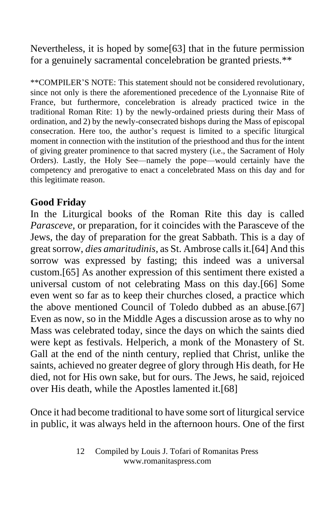Nevertheless, it is hoped by some[63] that in the future permission for a genuinely sacramental concelebration be granted priests.\*\*

\*\*COMPILER'S NOTE: This statement should not be considered revolutionary, since not only is there the aforementioned precedence of the Lyonnaise Rite of France, but furthermore, concelebration is already practiced twice in the traditional Roman Rite: 1) by the newly-ordained priests during their Mass of ordination, and 2) by the newly-consecrated bishops during the Mass of episcopal consecration. Here too, the author's request is limited to a specific liturgical moment in connection with the institution of the priesthood and thus for the intent of giving greater prominence to that sacred mystery (i.e., the Sacrament of Holy Orders). Lastly, the Holy See—namely the pope—would certainly have the competency and prerogative to enact a concelebrated Mass on this day and for this legitimate reason.

#### **Good Friday**

In the Liturgical books of the Roman Rite this day is called *Parasceve*, or preparation, for it coincides with the Parasceve of the Jews, the day of preparation for the great Sabbath. This is a day of great sorrow, *dies amaritudinis*, as St. Ambrose calls it.[64] And this sorrow was expressed by fasting; this indeed was a universal custom.[65] As another expression of this sentiment there existed a universal custom of not celebrating Mass on this day.[66] Some even went so far as to keep their churches closed, a practice which the above mentioned Council of Toledo dubbed as an abuse.[67] Even as now, so in the Middle Ages a discussion arose as to why no Mass was celebrated today, since the days on which the saints died were kept as festivals. Helperich, a monk of the Monastery of St. Gall at the end of the ninth century, replied that Christ, unlike the saints, achieved no greater degree of glory through His death, for He died, not for His own sake, but for ours. The Jews, he said, rejoiced over His death, while the Apostles lamented it.[68]

Once it had become traditional to have some sort of liturgical service in public, it was always held in the afternoon hours. One of the first

<sup>12</sup> Compiled by Louis J. Tofari of Romanitas Press www.romanitaspress.com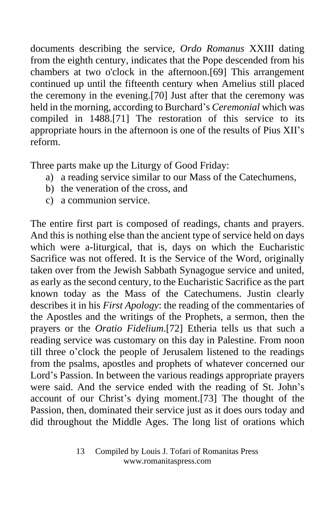documents describing the service, *Ordo Romanus* XXIII dating from the eighth century, indicates that the Pope descended from his chambers at two o'clock in the afternoon.[69] This arrangement continued up until the fifteenth century when Amelius still placed the ceremony in the evening.[70] Just after that the ceremony was held in the morning, according to Burchard's *Ceremonial* which was compiled in 1488.[71] The restoration of this service to its appropriate hours in the afternoon is one of the results of Pius XII's reform.

Three parts make up the Liturgy of Good Friday:

- a) a reading service similar to our Mass of the Catechumens,
- b) the veneration of the cross, and
- c) a communion service.

The entire first part is composed of readings, chants and prayers. And this is nothing else than the ancient type of service held on days which were a-liturgical, that is, days on which the Eucharistic Sacrifice was not offered. It is the Service of the Word, originally taken over from the Jewish Sabbath Synagogue service and united, as early as the second century, to the Eucharistic Sacrifice as the part known today as the Mass of the Catechumens. Justin clearly describes it in his *First Apology*: the reading of the commentaries of the Apostles and the writings of the Prophets, a sermon, then the prayers or the *Oratio Fidelium*.[72] Etheria tells us that such a reading service was customary on this day in Palestine. From noon till three o'clock the people of Jerusalem listened to the readings from the psalms, apostles and prophets of whatever concerned our Lord's Passion. In between the various readings appropriate prayers were said. And the service ended with the reading of St. John's account of our Christ's dying moment.[73] The thought of the Passion, then, dominated their service just as it does ours today and did throughout the Middle Ages. The long list of orations which

13 Compiled by Louis J. Tofari of Romanitas Press www.romanitaspress.com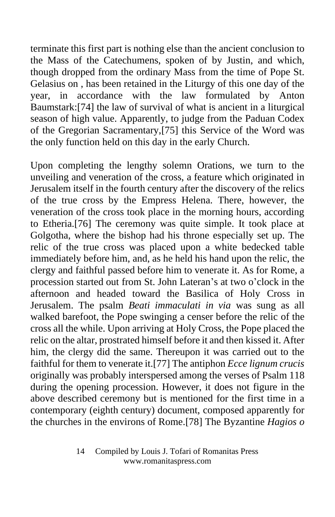terminate this first part is nothing else than the ancient conclusion to the Mass of the Catechumens, spoken of by Justin, and which, though dropped from the ordinary Mass from the time of Pope St. Gelasius on , has been retained in the Liturgy of this one day of the year, in accordance with the law formulated by Anton Baumstark:[74] the law of survival of what is ancient in a liturgical season of high value. Apparently, to judge from the Paduan Codex of the Gregorian Sacramentary,[75] this Service of the Word was the only function held on this day in the early Church.

Upon completing the lengthy solemn Orations, we turn to the unveiling and veneration of the cross, a feature which originated in Jerusalem itself in the fourth century after the discovery of the relics of the true cross by the Empress Helena. There, however, the veneration of the cross took place in the morning hours, according to Etheria.[76] The ceremony was quite simple. It took place at Golgotha, where the bishop had his throne especially set up. The relic of the true cross was placed upon a white bedecked table immediately before him, and, as he held his hand upon the relic, the clergy and faithful passed before him to venerate it. As for Rome, a procession started out from St. John Lateran's at two o'clock in the afternoon and headed toward the Basilica of Holy Cross in Jerusalem. The psalm *Beati immaculati in via* was sung as all walked barefoot, the Pope swinging a censer before the relic of the cross all the while. Upon arriving at Holy Cross, the Pope placed the relic on the altar, prostrated himself before it and then kissed it. After him, the clergy did the same. Thereupon it was carried out to the faithful for them to venerate it.[77] The antiphon *Ecce lignum crucis* originally was probably interspersed among the verses of Psalm 118 during the opening procession. However, it does not figure in the above described ceremony but is mentioned for the first time in a contemporary (eighth century) document, composed apparently for the churches in the environs of Rome.[78] The Byzantine *Hagios o*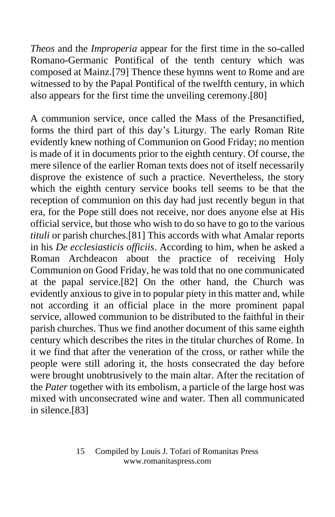*Theos* and the *Improperia* appear for the first time in the so-called Romano-Germanic Pontifical of the tenth century which was composed at Mainz.[79] Thence these hymns went to Rome and are witnessed to by the Papal Pontifical of the twelfth century, in which also appears for the first time the unveiling ceremony.[80]

A communion service, once called the Mass of the Presanctified, forms the third part of this day's Liturgy. The early Roman Rite evidently knew nothing of Communion on Good Friday; no mention is made of it in documents prior to the eighth century. Of course, the mere silence of the earlier Roman texts does not of itself necessarily disprove the existence of such a practice. Nevertheless, the story which the eighth century service books tell seems to be that the reception of communion on this day had just recently begun in that era, for the Pope still does not receive, nor does anyone else at His official service, but those who wish to do so have to go to the various *tituli* or parish churches.[81] This accords with what Amalar reports in his *De ecclesiasticis officiis*. According to him, when he asked a Roman Archdeacon about the practice of receiving Holy Communion on Good Friday, he was told that no one communicated at the papal service.[82] On the other hand, the Church was evidently anxious to give in to popular piety in this matter and, while not according it an official place in the more prominent papal service, allowed communion to be distributed to the faithful in their parish churches. Thus we find another document of this same eighth century which describes the rites in the titular churches of Rome. In it we find that after the veneration of the cross, or rather while the people were still adoring it, the hosts consecrated the day before were brought unobtrusively to the main altar. After the recitation of the *Pater* together with its embolism, a particle of the large host was mixed with unconsecrated wine and water. Then all communicated in silence.[83]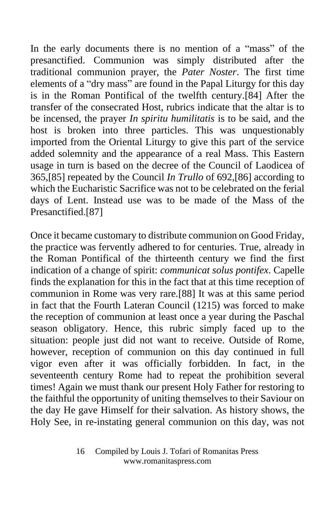In the early documents there is no mention of a "mass" of the presanctified. Communion was simply distributed after the traditional communion prayer, the *Pater Noster*. The first time elements of a "dry mass" are found in the Papal Liturgy for this day is in the Roman Pontifical of the twelfth century.[84] After the transfer of the consecrated Host, rubrics indicate that the altar is to be incensed, the prayer *In spiritu humilitatis* is to be said, and the host is broken into three particles. This was unquestionably imported from the Oriental Liturgy to give this part of the service added solemnity and the appearance of a real Mass. This Eastern usage in turn is based on the decree of the Council of Laodicea of 365,[85] repeated by the Council *In Trullo* of 692,[86] according to which the Eucharistic Sacrifice was not to be celebrated on the ferial days of Lent. Instead use was to be made of the Mass of the Presanctified.[87]

Once it became customary to distribute communion on Good Friday, the practice was fervently adhered to for centuries. True, already in the Roman Pontifical of the thirteenth century we find the first indication of a change of spirit: *communicat solus pontifex*. Capelle finds the explanation for this in the fact that at this time reception of communion in Rome was very rare.[88] It was at this same period in fact that the Fourth Lateran Council (1215) was forced to make the reception of communion at least once a year during the Paschal season obligatory. Hence, this rubric simply faced up to the situation: people just did not want to receive. Outside of Rome, however, reception of communion on this day continued in full vigor even after it was officially forbidden. In fact, in the seventeenth century Rome had to repeat the prohibition several times! Again we must thank our present Holy Father for restoring to the faithful the opportunity of uniting themselves to their Saviour on the day He gave Himself for their salvation. As history shows, the Holy See, in re-instating general communion on this day, was not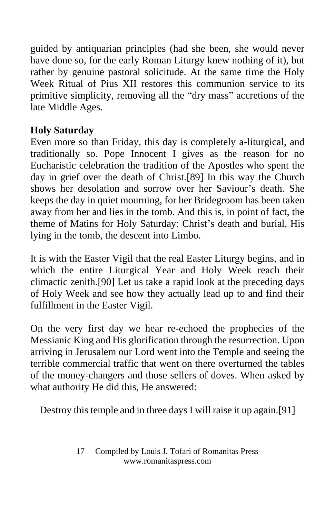guided by antiquarian principles (had she been, she would never have done so, for the early Roman Liturgy knew nothing of it), but rather by genuine pastoral solicitude. At the same time the Holy Week Ritual of Pius XII restores this communion service to its primitive simplicity, removing all the "dry mass" accretions of the late Middle Ages.

## **Holy Saturday**

Even more so than Friday, this day is completely a-liturgical, and traditionally so. Pope Innocent I gives as the reason for no Eucharistic celebration the tradition of the Apostles who spent the day in grief over the death of Christ.[89] In this way the Church shows her desolation and sorrow over her Saviour's death. She keeps the day in quiet mourning, for her Bridegroom has been taken away from her and lies in the tomb. And this is, in point of fact, the theme of Matins for Holy Saturday: Christ's death and burial, His lying in the tomb, the descent into Limbo.

It is with the Easter Vigil that the real Easter Liturgy begins, and in which the entire Liturgical Year and Holy Week reach their climactic zenith.[90] Let us take a rapid look at the preceding days of Holy Week and see how they actually lead up to and find their fulfillment in the Easter Vigil.

On the very first day we hear re-echoed the prophecies of the Messianic King and His glorification through the resurrection. Upon arriving in Jerusalem our Lord went into the Temple and seeing the terrible commercial traffic that went on there overturned the tables of the money-changers and those sellers of doves. When asked by what authority He did this, He answered:

Destroy this temple and in three days I will raise it up again.[91]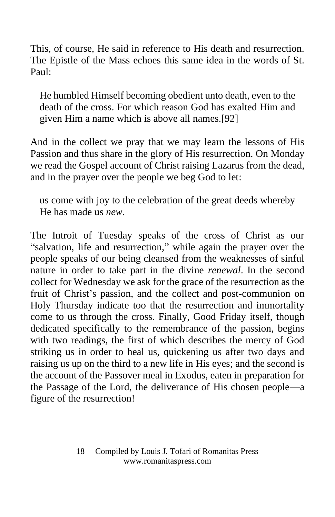This, of course, He said in reference to His death and resurrection. The Epistle of the Mass echoes this same idea in the words of St. Paul:

He humbled Himself becoming obedient unto death, even to the death of the cross. For which reason God has exalted Him and given Him a name which is above all names.[92]

And in the collect we pray that we may learn the lessons of His Passion and thus share in the glory of His resurrection. On Monday we read the Gospel account of Christ raising Lazarus from the dead, and in the prayer over the people we beg God to let:

us come with joy to the celebration of the great deeds whereby He has made us *new*.

The Introit of Tuesday speaks of the cross of Christ as our "salvation, life and resurrection," while again the prayer over the people speaks of our being cleansed from the weaknesses of sinful nature in order to take part in the divine *renewal*. In the second collect for Wednesday we ask for the grace of the resurrection as the fruit of Christ's passion, and the collect and post-communion on Holy Thursday indicate too that the resurrection and immortality come to us through the cross. Finally, Good Friday itself, though dedicated specifically to the remembrance of the passion, begins with two readings, the first of which describes the mercy of God striking us in order to heal us, quickening us after two days and raising us up on the third to a new life in His eyes; and the second is the account of the Passover meal in Exodus, eaten in preparation for the Passage of the Lord, the deliverance of His chosen people—a figure of the resurrection!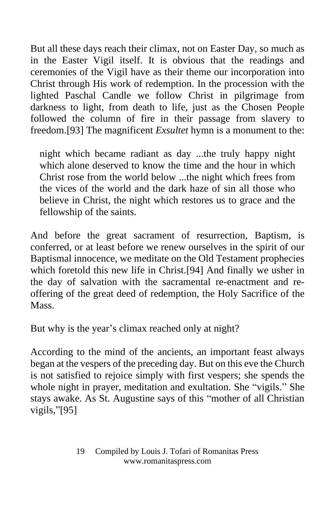But all these days reach their climax, not on Easter Day, so much as in the Easter Vigil itself. It is obvious that the readings and ceremonies of the Vigil have as their theme our incorporation into Christ through His work of redemption. In the procession with the lighted Paschal Candle we follow Christ in pilgrimage from darkness to light, from death to life, just as the Chosen People followed the column of fire in their passage from slavery to freedom.[93] The magnificent *Exsultet* hymn is a monument to the:

night which became radiant as day ...the truly happy night which alone deserved to know the time and the hour in which Christ rose from the world below ...the night which frees from the vices of the world and the dark haze of sin all those who believe in Christ, the night which restores us to grace and the fellowship of the saints.

And before the great sacrament of resurrection, Baptism, is conferred, or at least before we renew ourselves in the spirit of our Baptismal innocence, we meditate on the Old Testament prophecies which foretold this new life in Christ.[94] And finally we usher in the day of salvation with the sacramental re-enactment and reoffering of the great deed of redemption, the Holy Sacrifice of the Mass.

But why is the year's climax reached only at night?

According to the mind of the ancients, an important feast always began at the vespers of the preceding day. But on this eve the Church is not satisfied to rejoice simply with first vespers; she spends the whole night in prayer, meditation and exultation. She "vigils." She stays awake. As St. Augustine says of this "mother of all Christian vigils,"[95]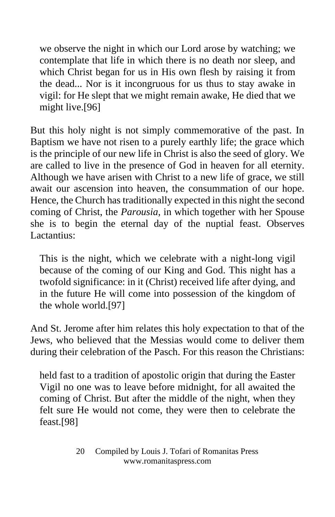we observe the night in which our Lord arose by watching; we contemplate that life in which there is no death nor sleep, and which Christ began for us in His own flesh by raising it from the dead... Nor is it incongruous for us thus to stay awake in vigil: for He slept that we might remain awake, He died that we might live.[96]

But this holy night is not simply commemorative of the past. In Baptism we have not risen to a purely earthly life; the grace which is the principle of our new life in Christ is also the seed of glory. We are called to live in the presence of God in heaven for all eternity. Although we have arisen with Christ to a new life of grace, we still await our ascension into heaven, the consummation of our hope. Hence, the Church has traditionally expected in this night the second coming of Christ, the *Parousia*, in which together with her Spouse she is to begin the eternal day of the nuptial feast. Observes Lactantius:

This is the night, which we celebrate with a night-long vigil because of the coming of our King and God. This night has a twofold significance: in it (Christ) received life after dying, and in the future He will come into possession of the kingdom of the whole world.[97]

And St. Jerome after him relates this holy expectation to that of the Jews, who believed that the Messias would come to deliver them during their celebration of the Pasch. For this reason the Christians:

held fast to a tradition of apostolic origin that during the Easter Vigil no one was to leave before midnight, for all awaited the coming of Christ. But after the middle of the night, when they felt sure He would not come, they were then to celebrate the feast.[98]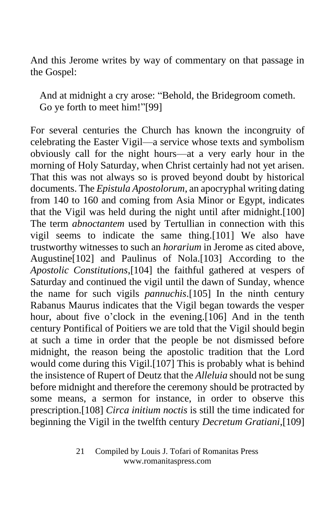And this Jerome writes by way of commentary on that passage in the Gospel:

And at midnight a cry arose: "Behold, the Bridegroom cometh. Go ye forth to meet him!"[99]

For several centuries the Church has known the incongruity of celebrating the Easter Vigil—a service whose texts and symbolism obviously call for the night hours—at a very early hour in the morning of Holy Saturday, when Christ certainly had not yet arisen. That this was not always so is proved beyond doubt by historical documents. The *Epistula Apostolorum*, an apocryphal writing dating from 140 to 160 and coming from Asia Minor or Egypt, indicates that the Vigil was held during the night until after midnight.[100] The term *abnoctantem* used by Tertullian in connection with this vigil seems to indicate the same thing.[101] We also have trustworthy witnesses to such an *horarium* in Jerome as cited above, Augustine[102] and Paulinus of Nola.[103] According to the *Apostolic Constitutions*,[104] the faithful gathered at vespers of Saturday and continued the vigil until the dawn of Sunday, whence the name for such vigils *pannuchis*.[105] In the ninth century Rabanus Maurus indicates that the Vigil began towards the vesper hour, about five o'clock in the evening.[106] And in the tenth century Pontifical of Poitiers we are told that the Vigil should begin at such a time in order that the people be not dismissed before midnight, the reason being the apostolic tradition that the Lord would come during this Vigil.[107] This is probably what is behind the insistence of Rupert of Deutz that the *Alleluia* should not be sung before midnight and therefore the ceremony should be protracted by some means, a sermon for instance, in order to observe this prescription.[108] *Circa initium noctis* is still the time indicated for beginning the Vigil in the twelfth century *Decretum Gratiani*,[109]

<sup>21</sup> Compiled by Louis J. Tofari of Romanitas Press www.romanitaspress.com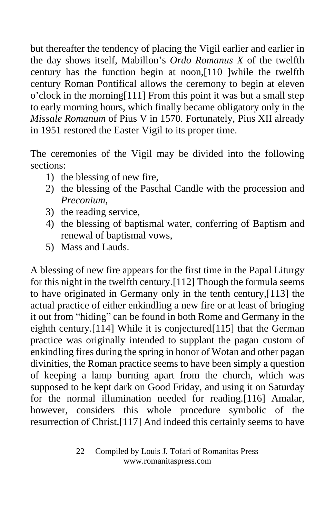but thereafter the tendency of placing the Vigil earlier and earlier in the day shows itself, Mabillon's *Ordo Romanus X* of the twelfth century has the function begin at noon,[110 ]while the twelfth century Roman Pontifical allows the ceremony to begin at eleven o'clock in the morning[111] From this point it was but a small step to early morning hours, which finally became obligatory only in the *Missale Romanum* of Pius V in 1570. Fortunately, Pius XII already in 1951 restored the Easter Vigil to its proper time.

The ceremonies of the Vigil may be divided into the following sections:

- 1) the blessing of new fire,
- 2) the blessing of the Paschal Candle with the procession and *Preconium*,
- 3) the reading service,
- 4) the blessing of baptismal water, conferring of Baptism and renewal of baptismal vows,
- 5) Mass and Lauds.

A blessing of new fire appears for the first time in the Papal Liturgy for this night in the twelfth century.[112] Though the formula seems to have originated in Germany only in the tenth century,[113] the actual practice of either enkindling a new fire or at least of bringing it out from "hiding" can be found in both Rome and Germany in the eighth century.[114] While it is conjectured[115] that the German practice was originally intended to supplant the pagan custom of enkindling fires during the spring in honor of Wotan and other pagan divinities, the Roman practice seems to have been simply a question of keeping a lamp burning apart from the church, which was supposed to be kept dark on Good Friday, and using it on Saturday for the normal illumination needed for reading.[116] Amalar, however, considers this whole procedure symbolic of the resurrection of Christ.[117] And indeed this certainly seems to have

22 Compiled by Louis J. Tofari of Romanitas Press www.romanitaspress.com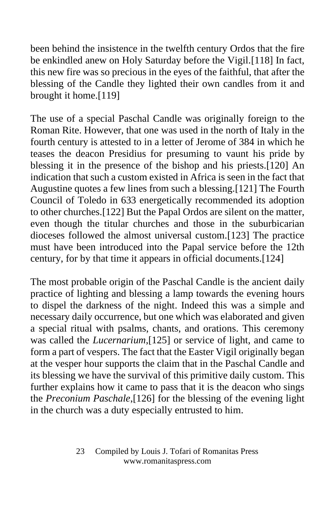been behind the insistence in the twelfth century Ordos that the fire be enkindled anew on Holy Saturday before the Vigil.[118] In fact, this new fire was so precious in the eyes of the faithful, that after the blessing of the Candle they lighted their own candles from it and brought it home.[119]

The use of a special Paschal Candle was originally foreign to the Roman Rite. However, that one was used in the north of Italy in the fourth century is attested to in a letter of Jerome of 384 in which he teases the deacon Presidius for presuming to vaunt his pride by blessing it in the presence of the bishop and his priests.[120] An indication that such a custom existed in Africa is seen in the fact that Augustine quotes a few lines from such a blessing.[121] The Fourth Council of Toledo in 633 energetically recommended its adoption to other churches.[122] But the Papal Ordos are silent on the matter, even though the titular churches and those in the suburbicarian dioceses followed the almost universal custom.[123] The practice must have been introduced into the Papal service before the 12th century, for by that time it appears in official documents.[124]

The most probable origin of the Paschal Candle is the ancient daily practice of lighting and blessing a lamp towards the evening hours to dispel the darkness of the night. Indeed this was a simple and necessary daily occurrence, but one which was elaborated and given a special ritual with psalms, chants, and orations. This ceremony was called the *Lucernarium*,[125] or service of light, and came to form a part of vespers. The fact that the Easter Vigil originally began at the vesper hour supports the claim that in the Paschal Candle and its blessing we have the survival of this primitive daily custom. This further explains how it came to pass that it is the deacon who sings the *Preconium Paschale*,[126] for the blessing of the evening light in the church was a duty especially entrusted to him.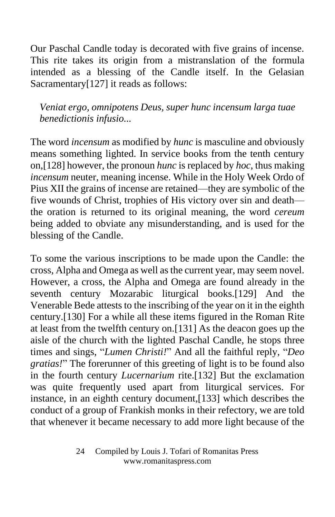Our Paschal Candle today is decorated with five grains of incense. This rite takes its origin from a mistranslation of the formula intended as a blessing of the Candle itself. In the Gelasian Sacramentary[127] it reads as follows:

*Veniat ergo, omnipotens Deus, super hunc incensum larga tuae benedictionis infusio...*

The word *incensum* as modified by *hunc* is masculine and obviously means something lighted. In service books from the tenth century on,[128] however, the pronoun *hunc* is replaced by *hoc*, thus making *incensum* neuter, meaning incense. While in the Holy Week Ordo of Pius XII the grains of incense are retained—they are symbolic of the five wounds of Christ, trophies of His victory over sin and death the oration is returned to its original meaning, the word *cereum* being added to obviate any misunderstanding, and is used for the blessing of the Candle.

To some the various inscriptions to be made upon the Candle: the cross, Alpha and Omega as well as the current year, may seem novel. However, a cross, the Alpha and Omega are found already in the seventh century Mozarabic liturgical books.[129] And the Venerable Bede attests to the inscribing of the year on it in the eighth century.[130] For a while all these items figured in the Roman Rite at least from the twelfth century on.[131] As the deacon goes up the aisle of the church with the lighted Paschal Candle, he stops three times and sings, "*Lumen Christi!*" And all the faithful reply, "*Deo gratias!*" The forerunner of this greeting of light is to be found also in the fourth century *Lucernarium* rite.[132] But the exclamation was quite frequently used apart from liturgical services. For instance, in an eighth century document,[133] which describes the conduct of a group of Frankish monks in their refectory, we are told that whenever it became necessary to add more light because of the

<sup>24</sup> Compiled by Louis J. Tofari of Romanitas Press www.romanitaspress.com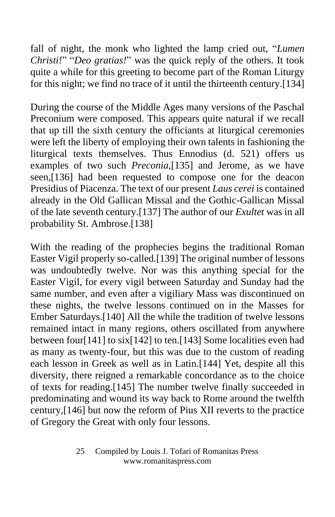fall of night, the monk who lighted the lamp cried out, "*Lumen Christi!*" "*Deo gratias!*" was the quick reply of the others. It took quite a while for this greeting to become part of the Roman Liturgy for this night; we find no trace of it until the thirteenth century.[134]

During the course of the Middle Ages many versions of the Paschal Preconium were composed. This appears quite natural if we recall that up till the sixth century the officiants at liturgical ceremonies were left the liberty of employing their own talents in fashioning the liturgical texts themselves. Thus Ennodius (d. 521) offers us examples of two such *Preconia*, [135] and Jerome, as we have seen,[136] had been requested to compose one for the deacon Presidius of Piacenza. The text of our present *Laus cerei* is contained already in the Old Gallican Missal and the Gothic-Gallican Missal of the late seventh century.[137] The author of our *Exultet* was in all probability St. Ambrose.[138]

With the reading of the prophecies begins the traditional Roman Easter Vigil properly so-called.[139] The original number of lessons was undoubtedly twelve. Nor was this anything special for the Easter Vigil, for every vigil between Saturday and Sunday had the same number, and even after a vigiliary Mass was discontinued on these nights, the twelve lessons continued on in the Masses for Ember Saturdays.[140] All the while the tradition of twelve lessons remained intact in many regions, others oscillated from anywhere between four[141] to six[142] to ten.[143] Some localities even had as many as twenty-four, but this was due to the custom of reading each lesson in Greek as well as in Latin.[144] Yet, despite all this diversity, there reigned a remarkable concordance as to the choice of texts for reading.[145] The number twelve finally succeeded in predominating and wound its way back to Rome around the twelfth century,[146] but now the reform of Pius XII reverts to the practice of Gregory the Great with only four lessons.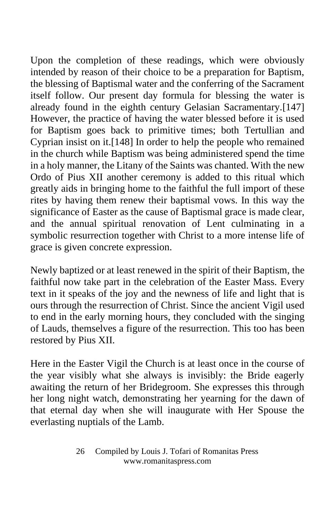Upon the completion of these readings, which were obviously intended by reason of their choice to be a preparation for Baptism, the blessing of Baptismal water and the conferring of the Sacrament itself follow. Our present day formula for blessing the water is already found in the eighth century Gelasian Sacramentary.[147] However, the practice of having the water blessed before it is used for Baptism goes back to primitive times; both Tertullian and Cyprian insist on it.[148] In order to help the people who remained in the church while Baptism was being administered spend the time in a holy manner, the Litany of the Saints was chanted. With the new Ordo of Pius XII another ceremony is added to this ritual which greatly aids in bringing home to the faithful the full import of these rites by having them renew their baptismal vows. In this way the significance of Easter as the cause of Baptismal grace is made clear, and the annual spiritual renovation of Lent culminating in a symbolic resurrection together with Christ to a more intense life of grace is given concrete expression.

Newly baptized or at least renewed in the spirit of their Baptism, the faithful now take part in the celebration of the Easter Mass. Every text in it speaks of the joy and the newness of life and light that is ours through the resurrection of Christ. Since the ancient Vigil used to end in the early morning hours, they concluded with the singing of Lauds, themselves a figure of the resurrection. This too has been restored by Pius XII.

Here in the Easter Vigil the Church is at least once in the course of the year visibly what she always is invisibly: the Bride eagerly awaiting the return of her Bridegroom. She expresses this through her long night watch, demonstrating her yearning for the dawn of that eternal day when she will inaugurate with Her Spouse the everlasting nuptials of the Lamb.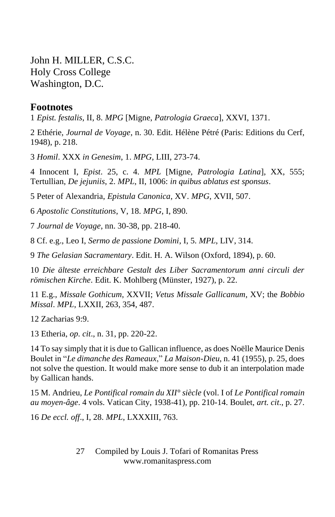John H. MILLER, C.S.C. Holy Cross College Washington, D.C.

#### **Footnotes**

1 *Epist. festalis*, II, 8. *MPG* [Migne, *Patrologia Graeca*], XXVI, 1371.

2 Ethérie, *Journal de Voyage*, n. 30. Edit. Hélène Pétré (Paris: Editions du Cerf, 1948), p. 218.

3 *Homil*. XXX *in Genesim*, 1. *MPG*, LIII, 273-74.

4 Innocent I, *Epist*. 25, c. 4. *MPL* [Migne, *Patrologia Latina*], XX, 555; Tertullian, *De jejuniis*, 2. *MPL*, II, 1006: *in quibus ablatus est sponsus*.

5 Peter of Alexandria, *Epistula Canonica*, XV. *MPG*, XVII, 507.

6 *Apostolic Constitutions*, V, 18. *MPG*, I, 890.

7 *Journal de Voyage*, nn. 30-38, pp. 218-40.

8 Cf. e.g., Leo I, *Sermo de passione Domini*, I, 5. *MPL*, LIV, 314.

9 *The Gelasian Sacramentary*. Edit. H. A. Wilson (Oxford, 1894), p. 60.

10 *Die älteste erreichbare Gestalt des Liber Sacramentorum anni circuli der römischen Kirche*. Edit. K. Mohlberg (Münster, 1927), p. 22.

11 E.g., *Missale Gothicum*, XXVII; *Vetus Missale Gallicanum*, XV; the *Bobbio Missal*. *MPL*, LXXII, 263, 354, 487.

12 Zacharias 9:9.

13 Etheria, *op. cit*., n. 31, pp. 220-22.

14 To say simply that it is due to Gallican influence, as does Noëlle Maurice Denis Boulet in "*Le dimanche des Rameaux*," *La Maison-Dieu*, n. 41 (1955), p. 25, does not solve the question. It would make more sense to dub it an interpolation made by Gallican hands.

15 M. Andrieu, *Le Pontifical romain du XII° siècle* (vol. I of *Le Pontifical romain au moyen-âge*. 4 vols. Vatican City, 1938-41), pp. 210-14. Boulet, *art. cit*., p. 27.

16 *De eccl. off*., I, 28. *MPL*, LXXXIII, 763.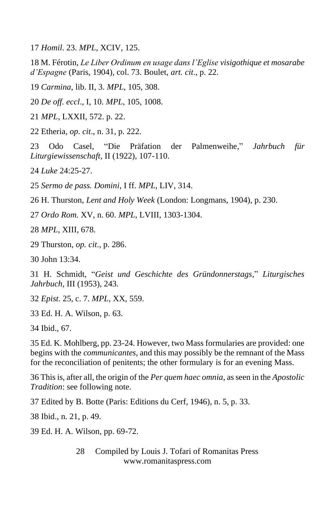17 *Homil*. 23. *MPL*, XCIV, 125.

18 M. Férotin, *Le Liber Ordinum en usage dans l'Eglise visigothique et mosarabe d'Espagne* (Paris, 1904), col. 73. Boulet, *art. cit*., p. 22.

19 *Carmina*, lib. II, 3. *MPL*, 105, 308.

20 *De off. eccl*., I, 10. *MPL*, 105, 1008.

21 *MPL*, LXXII, 572. p. 22.

22 Etheria, *op. cit*., n. 31, p. 222.

23 Odo Casel, "Die Präfation der Palmenweihe," *Jahrbuch für Liturgiewissenschaft*, II (1922), 107-110.

24 *Luke* 24:25-27.

25 *Sermo de pass. Domini*, I ff. *MPL*, LIV, 314.

26 H. Thurston, *Lent and Holy Week* (London: Longmans, 1904), p. 230.

27 *Ordo Rom.* XV, n. 60. *MPL*, LVIII, 1303-1304.

28 *MPL*, XIII, 678.

29 Thurston, *op. cit*., p. 286.

30 John 13:34.

31 H. Schmidt, "*Geist und Geschichte des Gründonnerstags*," *Liturgisches Jahrbuch*, III (1953), 243.

32 *Epist*. 25, c. 7. *MPL*, XX, 559.

33 Ed. H. A. Wilson, p. 63.

34 Ibid., 67.

35 Ed. K. Mohlberg, pp. 23-24. However, two Mass formularies are provided: one begins with the *communicantes*, and this may possibly be the remnant of the Mass for the reconciliation of penitents; the other formulary is for an evening Mass.

36 This is, after all, the origin of the *Per quem haec omnia*, as seen in the *Apostolic Tradition*: see following note.

37 Edited by B. Botte (Paris: Editions du Cerf, 1946), n. 5, p. 33.

38 Ibid., n. 21, p. 49.

39 Ed. H. A. Wilson, pp. 69-72.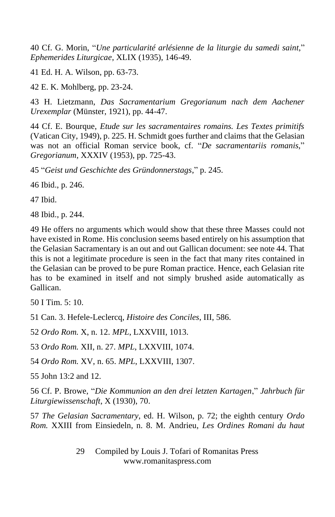40 Cf. G. Morin, "*Une particularité arlésienne de la liturgie du samedi saint*," *Ephemerides Liturgicae*, XLIX (1935), 146-49.

41 Ed. H. A. Wilson, pp. 63-73.

42 E. K. Mohlberg, pp. 23-24.

43 H. Lietzmann, *Das Sacramentarium Gregorianum nach dem Aachener Urexemplar* (Münster, 1921), pp. 44-47.

44 Cf. E. Bourque, *Etude sur les sacramentaires romains. Les Textes primitifs* (Vatican City, 1949), p. 225. H. Schmidt goes further and claims that the Gelasian was not an official Roman service book, cf. "*De sacramentariis romanis*," *Gregorianum*, XXXIV (1953), pp. 725-43.

45 "*Geist und Geschichte des Gründonnerstags*," p. 245.

46 Ibid., p. 246.

47 Ibid.

48 Ibid., p. 244.

49 He offers no arguments which would show that these three Masses could not have existed in Rome. His conclusion seems based entirely on his assumption that the Gelasian Sacramentary is an out and out Gallican document: see note 44. That this is not a legitimate procedure is seen in the fact that many rites contained in the Gelasian can be proved to be pure Roman practice. Hence, each Gelasian rite has to be examined in itself and not simply brushed aside automatically as Gallican.

50 I Tim. 5: 10.

51 Can. 3. Hefele-Leclercq, *Histoire des Conciles*, III, 586.

52 *Ordo Rom.* X, n. 12. *MPL*, LXXVIII, 1013.

53 *Ordo Rom.* XII, n. 27. *MPL*, LXXVIII, 1074.

54 *Ordo Rom.* XV, n. 65. *MPL*, LXXVIII, 1307.

55 John 13:2 and 12.

56 Cf. P. Browe, "*Die Kommunion an den drei letzten Kartagen*," *Jahrbuch für Liturgiewissenschaft*, X (1930), 70.

57 *The Gelasian Sacramentary*, ed. H. Wilson, p. 72; the eighth century *Ordo Rom.* XXIII from Einsiedeln, n. 8. M. Andrieu, *Les Ordines Romani du haut*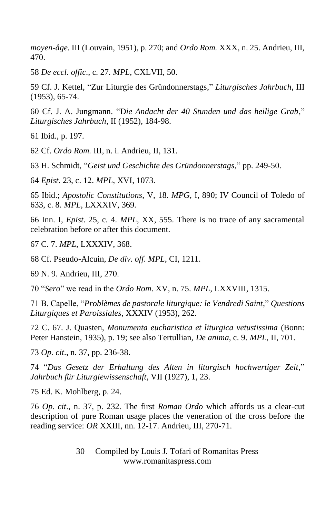*moyen-âge*. III (Louvain, 1951), p. 270; and *Ordo Rom.* XXX, n. 25. Andrieu, III, 470.

58 *De eccl. offic*., c. 27. *MPL*, CXLVII, 50.

59 Cf. J. Kettel, "Zur Liturgie des Gründonnerstags," *Liturgisches Jahrbuch*, III (1953), 65-74.

60 Cf. J. A. Jungmann. "D*ie Andacht der 40 Stunden und das heilige Grab*," *Liturgisches Jahrbuch*, II (1952), 184-98.

61 Ibid., p. 197.

62 Cf. *Ordo Rom.* III, n. i. Andrieu, II, 131.

63 H. Schmidt, "*Geist und Geschichte des Gründonnerstags*," pp. 249-50.

64 *Epist*. 23, c. 12. *MPL*, XVI, 1073.

65 Ibid.; *Apostolic Constitutions*, V, 18. *MPG*, I, 890; IV Council of Toledo of 633, c. 8. *MPL*, LXXXIV, 369.

66 Inn. I, *Epist*. 25, c. 4. *MPL*, XX, 555. There is no trace of any sacramental celebration before or after this document.

67 C. 7. *MPL*, LXXXIV, 368.

68 Cf. Pseudo-Alcuin, *De div. off*. *MPL*, CI, 1211.

69 N. 9. Andrieu, III, 270.

70 "*Sero*" we read in the *Ordo Rom*. XV, n. 75. *MPL*, LXXVIII, 1315.

71 B. Capelle, "*Problèmes de pastorale liturgique: le Vendredi Saint*," *Questions Liturgiques et Paroissiales*, XXXIV (1953), 262.

72 C. 67. J. Quasten, *Monumenta eucharistica et liturgica vetustissima* (Bonn: Peter Hanstein, 1935), p. 19; see also Tertullian, *De anima*, c. 9. *MPL*, II, 701.

73 *Op. cit*., n. 37, pp. 236-38.

74 "*Das Gesetz der Erhaltung des Alten in liturgisch hochwertiger Zeit*," *Jahrbuch für Liturgiewissenschaft*, VII (1927), 1, 23.

75 Ed. K. Mohlberg, p. 24.

76 *Op. cit*., n. 37, p. 232. The first *Roman Ordo* which affords us a clear-cut description of pure Roman usage places the veneration of the cross before the reading service: *OR* XXIII, nn. 12-17. Andrieu, III, 270-71.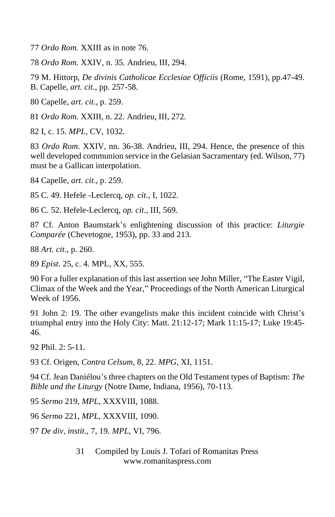77 *Ordo Rom.* XXIII as in note 76.

78 *Ordo Rom.* XXIV, n. 35. Andrieu, III, 294.

79 M. Hittorp, *De divinis Catholicae Ecclesiae Officiis* (Rome, 1591), pp.47-49. B. Capelle, *art. cit*., pp. 257-58.

80 Capelle, *art. cit*., p. 259.

81 *Ordo Rom.* XXIII, n. 22. Andrieu, III, 272.

82 I, c. 15. *MPL*, CV, 1032.

83 *Ordo Rom.* XXIV, nn. 36-38. Andrieu, III, 294. Hence, the presence of this well developed communion service in the Gelasian Sacramentary (ed. Wilson, 77) must be a Gallican interpolation.

84 Capelle, *art. cit*., p. 259.

85 C. 49. Hefele -Leclercq, *op. cit*., I, 1022.

86 C. 52. Hefele-Leclercq, *op. cit*., III, 569.

87 Cf. Anton Baumstark's enlightening discussion of this practice: *Liturgie Comparée* (Chevetogne, 1953), pp. 33 and 213.

88 *Art. cit*., p. 260.

89 *Epist*. 25, c. 4. MPL, XX, 555.

90 For a fuller explanation of this last assertion see John Miller, "The Easter Vigil, Climax of the Week and the Year," Proceedings of the North American Liturgical Week of 1956.

91 John 2: 19. The other evangelists make this incident coincide with Christ's triumphal entry into the Holy City: Matt. 21:12-17; Mark 11:15-17; Luke 19:45- 46.

92 Phil.  $2: 5-11$ .

93 Cf. Origen, *Contra Celsum*, 8, 22. *MPG*, XI, 1151.

94 Cf. Jean Daniélou's three chapters on the Old Testament types of Baptism: *The Bible and the Liturgy* (Notre Dame, Indiana, 1956), 70-113.

95 *Sermo* 219, *MPL*, XXXVIII, 1088.

96 *Sermo* 221, *MPL*, XXXVIII, 1090.

97 *De div, instit*., 7, 19. *MPL*, VI, 796.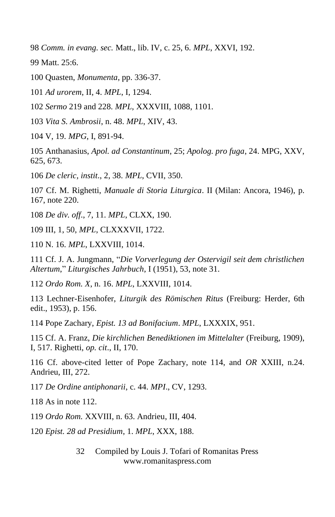98 *Comm. in evang. sec.* Matt., lib. IV, c. 25, 6. *MPL*, XXVI, 192.

99 Matt. 25:6.

100 Quasten, *Monumenta*, pp. 336-37.

101 *Ad urorem*, II, 4. *MPL*, I, 1294.

102 *Sermo* 219 and 228. *MPL*, XXXVIII, 1088, 1101.

103 *Vita S. Ambrosii*, n. 48. *MPL*, XIV, 43.

104 V, 19. *MPG*, I, 891-94.

105 Anthanasius, *Apol. ad Constantinum*, 25; *Apolog. pro fuga*, 24. MPG, XXV, 625, 673.

106 *De cleric, instit*., 2, 38. *MPL*, CVII, 350.

107 Cf. M. Righetti, *Manuale di Storia Liturgica*. II (Milan: Ancora, 1946), p. 167, note 220.

108 *De div. off*., 7, 11. *MPL*, CLXX, 190.

109 III, 1, 50, *MPL*, CLXXXVII, 1722.

110 N. 16. *MPL*, LXXVIII, 1014.

111 Cf. J. A. Jungmann, "*Die Vorverlegung der Ostervigil seit dem christlichen Altertum*," *Liturgisches Jahrbuch*, I (1951), 53, note 31.

112 *Ordo Rom. X*, n. 16. *MPL*, LXXVIII, 1014.

113 Lechner-Eisenhofer, *Liturgik des Römischen Ritus* (Freiburg: Herder, 6th edit., 1953), p. 156.

114 Pope Zachary, *Epist. 13 ad Bonifacium*. *MPL*, LXXXIX, 951.

115 Cf. A. Franz, *Die kirchlichen Benediktionen im Mittelalter* (Freiburg, 1909), I, 517. Righetti, *op. cit*., II, 170.

116 Cf. above-cited letter of Pope Zachary, note 114, and *OR* XXIII, n.24. Andrieu, III, 272.

117 *De Ordine antiphonarii*, c. 44. *MPI*., CV, 1293.

118 As in note 112.

119 *Ordo Rom.* XXVIII, n. 63. Andrieu, III, 404.

120 *Epist. 28 ad Presidium*, 1. *MPL*, XXX, 188.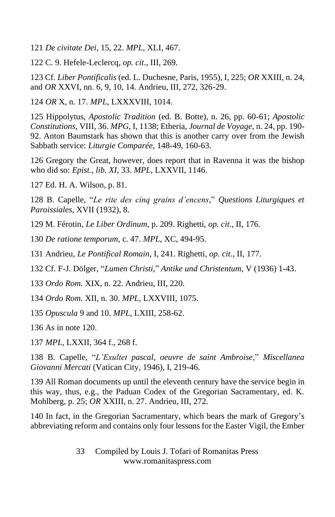121 *De civitate Dei*, 15, 22. *MPL*, XLI, 467.

122 C. 9. Hefele-Leclercq, *op. cit*., III, 269.

123 Cf. *Liber Pontificalis* (ed. L. Duchesne, Paris, 1955), I, 225; *OR* XXIII, n. 24, and *OR* XXVI, nn. 6, 9, 10, 14. Andrieu, III, 272, 326-29.

124 *OR* X, n. 17. *MPL*, LXXXVIII, 1014.

125 Hippolytus, *Apostolic Tradition* (ed. B. Botte), n. 26, pp. 60-61; *Apostolic Constitutions*, VIII, 36. *MPG*, I, 1138; Etheria, *Journal de Voyage*, n. 24, pp. 190- 92. Anton Baumstark has shown that this is another carry over from the Jewish Sabbath service: *Liturgie Comparée*, 148-49, 160-63.

126 Gregory the Great, however, does report that in Ravenna it was the bishop who did so: *Epist., lib. XI*, 33. *MPL*, LXXVII, 1146.

127 Ed. H. A. Wilson, p. 81.

128 B. Capelle, "*Le rite des cinq grains d'encens*," *Questions Liturgiques et Paroissiales*, XVII (1932), 8.

129 M. Férotin, *Le Liber Ordinum*, p. 209. Righetti, *op. cit*., II, 176.

130 *De ratione temporum*, c. 47. *MPL*, XC, 494-95.

131 Andrieu, *Le Pontifical Romain*, I, 241. Righetti, *op. cit*., II, 177.

132 Cf. F-J. Dölger, "*Lumen Christi*," *Antike und Christentum*, V (1936) 1-43.

133 *Ordo Rom.* XIX, n. 22. Andrieu, III, 220.

134 *Ordo Rom.* XII, n. 30. *MPL*, LXXVIII, 1075.

135 *Opuscula* 9 and 10. *MPL*, LXIII, 258-62.

136 As in note 120.

137 *MPL*, LXXII, 364 f., 268 f.

138 B. Capelle, "*L'Exultet pascal, oeuvre de saint Ambroise*," *Miscellanea Giovanni Mercati* (Vatican City, 1946), I, 219-46.

139 All Roman documents up until the eleventh century have the service begin in this way, thus, e.g., the Paduan Codex of the Gregorian Sacramentary, ed. K. Mohlberg, p. 25; *OR* XXIII, n. 27. Andrieu, III, 272.

140 In fact, in the Gregorian Sacramentary, which bears the mark of Gregory's abbreviating reform and contains only four lessons for the Easter Vigil, the Ember